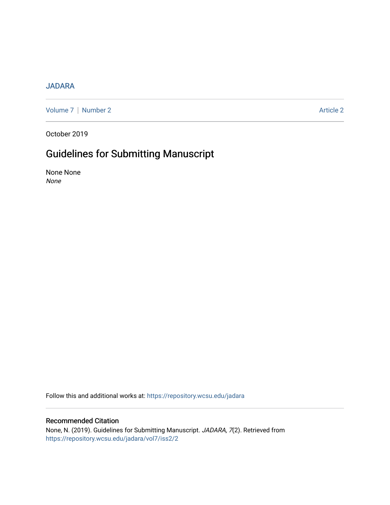## [JADARA](https://repository.wcsu.edu/jadara)

[Volume 7](https://repository.wcsu.edu/jadara/vol7) | [Number 2](https://repository.wcsu.edu/jadara/vol7/iss2) Article 2

October 2019

## Guidelines for Submitting Manuscript

None None None

Follow this and additional works at: [https://repository.wcsu.edu/jadara](https://repository.wcsu.edu/jadara?utm_source=repository.wcsu.edu%2Fjadara%2Fvol7%2Fiss2%2F2&utm_medium=PDF&utm_campaign=PDFCoverPages)

## Recommended Citation

None, N. (2019). Guidelines for Submitting Manuscript. JADARA, 7(2). Retrieved from [https://repository.wcsu.edu/jadara/vol7/iss2/2](https://repository.wcsu.edu/jadara/vol7/iss2/2?utm_source=repository.wcsu.edu%2Fjadara%2Fvol7%2Fiss2%2F2&utm_medium=PDF&utm_campaign=PDFCoverPages)